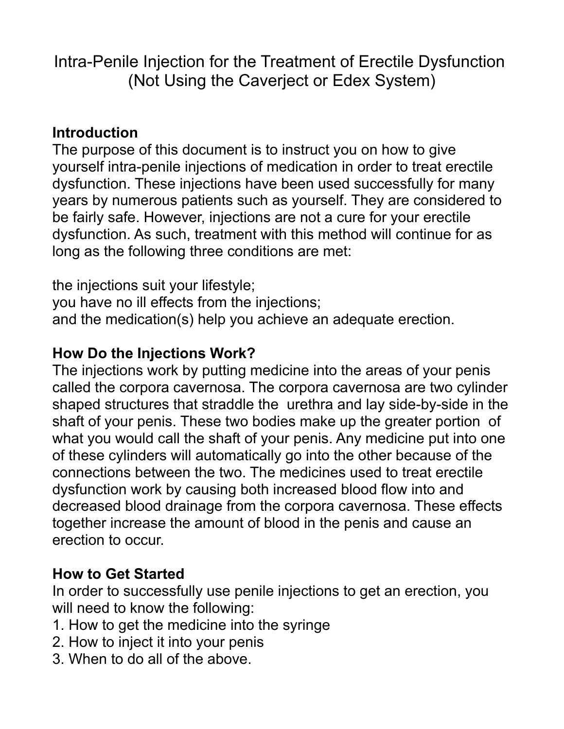Intra-Penile Injection for the Treatment of Erectile Dysfunction (Not Using the Caverject or Edex System)

#### **Introduction**

The purpose of this document is to instruct you on how to give yourself intra-penile injections of medication in order to treat erectile dysfunction. These injections have been used successfully for many years by numerous patients such as yourself. They are considered to be fairly safe. However, injections are not a cure for your erectile dysfunction. As such, treatment with this method will continue for as long as the following three conditions are met:

the injections suit your lifestyle; you have no ill effects from the injections; and the medication(s) help you achieve an adequate erection.

#### **How Do the Injections Work?**

The injections work by putting medicine into the areas of your penis called the corpora cavernosa. The corpora cavernosa are two cylinder shaped structures that straddle the urethra and lay side-by-side in the shaft of your penis. These two bodies make up the greater portion of what you would call the shaft of your penis. Any medicine put into one of these cylinders will automatically go into the other because of the connections between the two. The medicines used to treat erectile dysfunction work by causing both increased blood flow into and decreased blood drainage from the corpora cavernosa. These effects together increase the amount of blood in the penis and cause an erection to occur.

# **How to Get Started**

In order to successfully use penile injections to get an erection, you will need to know the following:

- 1. How to get the medicine into the syringe
- 2. How to inject it into your penis
- 3. When to do all of the above.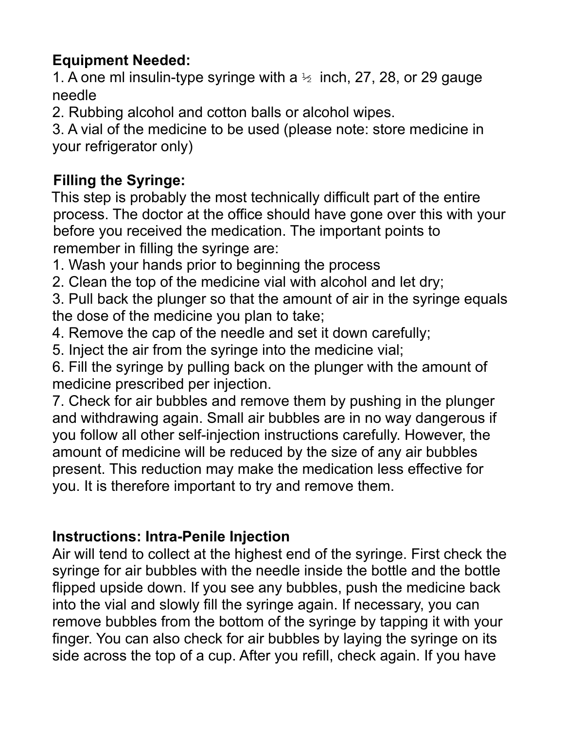## **Equipment Needed:**

1. A one ml insulin-type syringe with a  $\frac{1}{2}$  inch, 27, 28, or 29 gauge needle

2. Rubbing alcohol and cotton balls or alcohol wipes.

3. A vial of the medicine to be used (please note: store medicine in your refrigerator only)

## **Filling the Syringe:**

This step is probably the most technically difficult part of the entire process. The doctor at the office should have gone over this with your before you received the medication. The important points to remember in filling the syringe are:

1. Wash your hands prior to beginning the process

2. Clean the top of the medicine vial with alcohol and let dry;

3. Pull back the plunger so that the amount of air in the syringe equals the dose of the medicine you plan to take;

4. Remove the cap of the needle and set it down carefully;

5. Inject the air from the syringe into the medicine vial;

6. Fill the syringe by pulling back on the plunger with the amount of medicine prescribed per injection.

7. Check for air bubbles and remove them by pushing in the plunger and withdrawing again. Small air bubbles are in no way dangerous if you follow all other self-injection instructions carefully. However, the amount of medicine will be reduced by the size of any air bubbles present. This reduction may make the medication less effective for you. It is therefore important to try and remove them.

# **Instructions: Intra-Penile Injection**

Air will tend to collect at the highest end of the syringe. First check the syringe for air bubbles with the needle inside the bottle and the bottle flipped upside down. If you see any bubbles, push the medicine back into the vial and slowly fill the syringe again. If necessary, you can remove bubbles from the bottom of the syringe by tapping it with your finger. You can also check for air bubbles by laying the syringe on its side across the top of a cup. After you refill, check again. If you have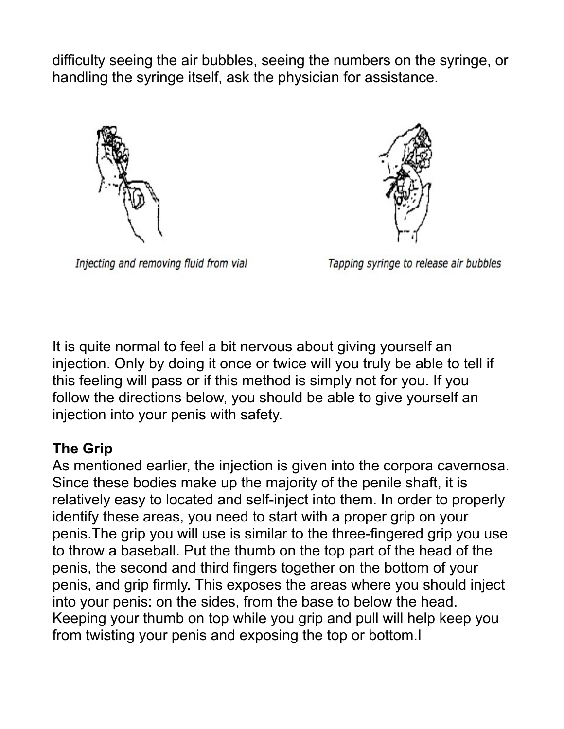difficulty seeing the air bubbles, seeing the numbers on the syringe, or handling the syringe itself, ask the physician for assistance.



Injecting and removing fluid from vial



Tapping syringe to release air bubbles

It is quite normal to feel a bit nervous about giving yourself an injection. Only by doing it once or twice will you truly be able to tell if this feeling will pass or if this method is simply not for you. If you follow the directions below, you should be able to give yourself an injection into your penis with safety.

#### **The Grip**

As mentioned earlier, the injection is given into the corpora cavernosa. Since these bodies make up the majority of the penile shaft, it is relatively easy to located and self-inject into them. In order to properly identify these areas, you need to start with a proper grip on your penis.The grip you will use is similar to the three-fingered grip you use to throw a baseball. Put the thumb on the top part of the head of the penis, the second and third fingers together on the bottom of your penis, and grip firmly. This exposes the areas where you should inject into your penis: on the sides, from the base to below the head. Keeping your thumb on top while you grip and pull will help keep you from twisting your penis and exposing the top or bottom.I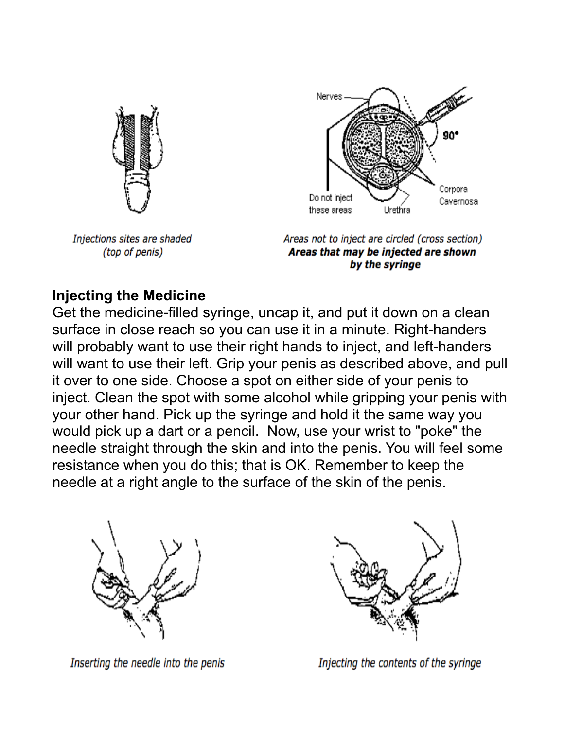

Injections sites are shaded (top of penis)



Areas not to inject are circled (cross section) Areas that may be injected are shown by the syringe

### **Injecting the Medicine**

Get the medicine-filled syringe, uncap it, and put it down on a clean surface in close reach so you can use it in a minute. Right-handers will probably want to use their right hands to inject, and left-handers will want to use their left. Grip your penis as described above, and pull it over to one side. Choose a spot on either side of your penis to inject. Clean the spot with some alcohol while gripping your penis with your other hand. Pick up the syringe and hold it the same way you would pick up a dart or a pencil. Now, use your wrist to "poke" the needle straight through the skin and into the penis. You will feel some resistance when you do this; that is OK. Remember to keep the needle at a right angle to the surface of the skin of the penis.



Inserting the needle into the penis



Injecting the contents of the syringe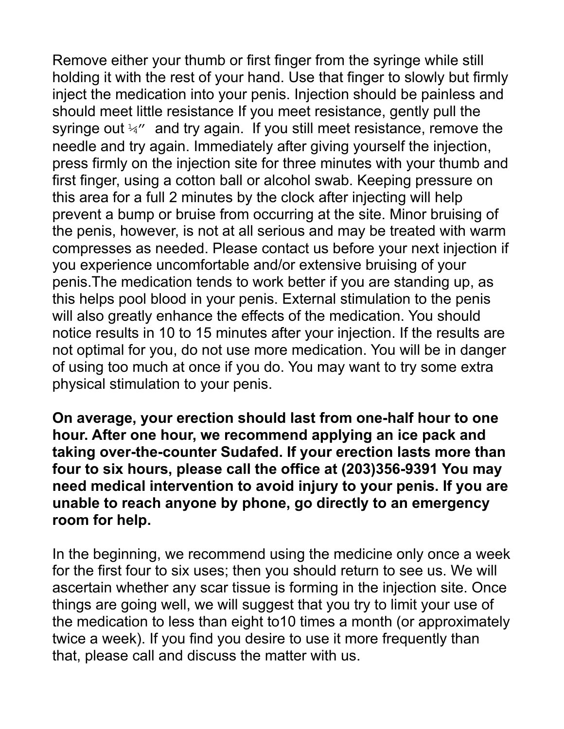Remove either your thumb or first finger from the syringe while still holding it with the rest of your hand. Use that finger to slowly but firmly inject the medication into your penis. Injection should be painless and should meet little resistance If you meet resistance, gently pull the syringe out  $\frac{1}{4}$  and try again. If you still meet resistance, remove the needle and try again. Immediately after giving yourself the injection, press firmly on the injection site for three minutes with your thumb and first finger, using a cotton ball or alcohol swab. Keeping pressure on this area for a full 2 minutes by the clock after injecting will help prevent a bump or bruise from occurring at the site. Minor bruising of the penis, however, is not at all serious and may be treated with warm compresses as needed. Please contact us before your next injection if you experience uncomfortable and/or extensive bruising of your penis.The medication tends to work better if you are standing up, as this helps pool blood in your penis. External stimulation to the penis will also greatly enhance the effects of the medication. You should notice results in 10 to 15 minutes after your injection. If the results are not optimal for you, do not use more medication. You will be in danger of using too much at once if you do. You may want to try some extra physical stimulation to your penis.

**On average, your erection should last from one-half hour to one hour. After one hour, we recommend applying an ice pack and taking over-the-counter Sudafed. If your erection lasts more than four to six hours, please call the office at (203)356-9391 You may need medical intervention to avoid injury to your penis. If you are unable to reach anyone by phone, go directly to an emergency room for help.**

In the beginning, we recommend using the medicine only once a week for the first four to six uses; then you should return to see us. We will ascertain whether any scar tissue is forming in the injection site. Once things are going well, we will suggest that you try to limit your use of the medication to less than eight to10 times a month (or approximately twice a week). If you find you desire to use it more frequently than that, please call and discuss the matter with us.